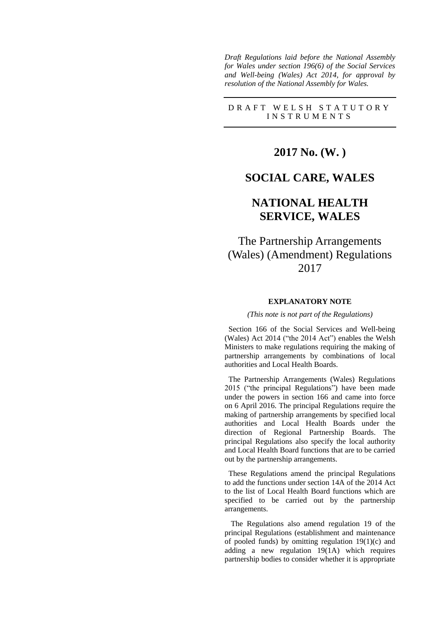*Draft Regulations laid before the National Assembly for Wales under section 196(6) of the Social Services and Well-being (Wales) Act 2014, for approval by resolution of the National Assembly for Wales.*

### D R A F T W E L S H S T A T U T O R Y I N S T R U M E N T S

**2017 No. (W. )**

### **SOCIAL CARE, WALES**

## **NATIONAL HEALTH SERVICE, WALES**

## The Partnership Arrangements (Wales) (Amendment) Regulations 2017

### **EXPLANATORY NOTE**

#### *(This note is not part of the Regulations)*

 Section 166 of the Social Services and Well-being (Wales) Act 2014 ("the 2014 Act") enables the Welsh Ministers to make regulations requiring the making of partnership arrangements by combinations of local authorities and Local Health Boards.

 The Partnership Arrangements (Wales) Regulations 2015 ("the principal Regulations") have been made under the powers in section 166 and came into force on 6 April 2016. The principal Regulations require the making of partnership arrangements by specified local authorities and Local Health Boards under the direction of Regional Partnership Boards. The principal Regulations also specify the local authority and Local Health Board functions that are to be carried out by the partnership arrangements.

 These Regulations amend the principal Regulations to add the functions under section 14A of the 2014 Act to the list of Local Health Board functions which are specified to be carried out by the partnership arrangements.

The Regulations also amend regulation 19 of the principal Regulations (establishment and maintenance of pooled funds) by omitting regulation  $19(1)(c)$  and adding a new regulation 19(1A) which requires partnership bodies to consider whether it is appropriate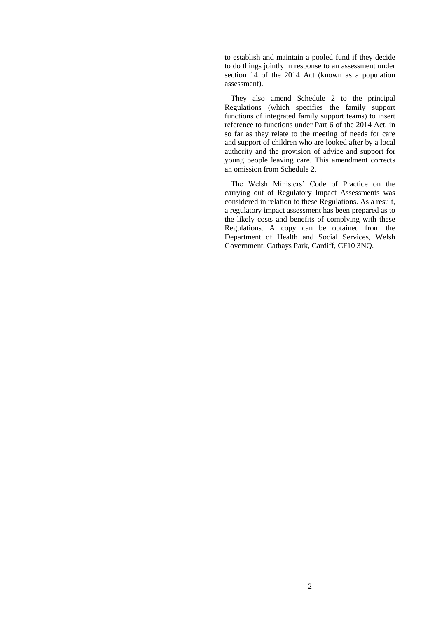to establish and maintain a pooled fund if they decide to do things jointly in response to an assessment under section 14 of the 2014 Act (known as a population assessment).

They also amend Schedule 2 to the principal Regulations (which specifies the family support functions of integrated family support teams) to insert reference to functions under Part 6 of the 2014 Act, in so far as they relate to the meeting of needs for care and support of children who are looked after by a local authority and the provision of advice and support for young people leaving care. This amendment corrects an omission from Schedule 2.

The Welsh Ministers' Code of Practice on the carrying out of Regulatory Impact Assessments was considered in relation to these Regulations. As a result, a regulatory impact assessment has been prepared as to the likely costs and benefits of complying with these Regulations. A copy can be obtained from the Department of Health and Social Services, Welsh Government, Cathays Park, Cardiff, CF10 3NQ.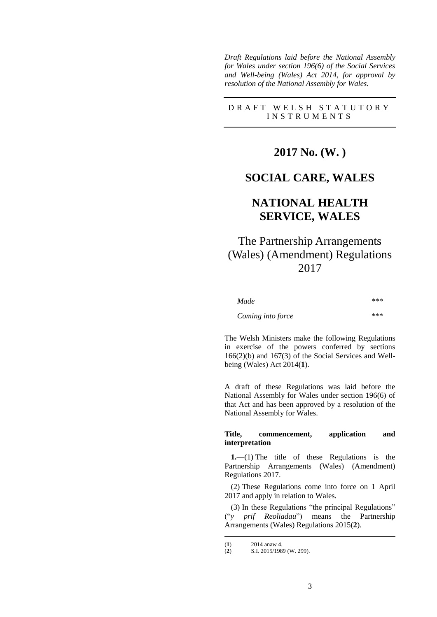*Draft Regulations laid before the National Assembly for Wales under section 196(6) of the Social Services and Well-being (Wales) Act 2014, for approval by resolution of the National Assembly for Wales.*

### D R A F T W E L S H S T A T U T O R Y I N S T R U M E N T S

## **2017 No. (W. )**

### **SOCIAL CARE, WALES**

## **NATIONAL HEALTH SERVICE, WALES**

# The Partnership Arrangements (Wales) (Amendment) Regulations 2017

| Made              | *** |
|-------------------|-----|
| Coming into force | *** |

The Welsh Ministers make the following Regulations in exercise of the powers conferred by sections 166(2)(b) and 167(3) of the Social Services and Wellbeing (Wales) Act 2014(**1**).

A draft of these Regulations was laid before the National Assembly for Wales under section 196(6) of that Act and has been approved by a resolution of the National Assembly for Wales.

### **Title, commencement, application and interpretation**

**1.**—(1) The title of these Regulations is the Partnership Arrangements (Wales) (Amendment) Regulations 2017.

(2) These Regulations come into force on 1 April 2017 and apply in relation to Wales.

(3) In these Regulations "the principal Regulations" ("*y prif Reoliadau*") means the Partnership Arrangements (Wales) Regulations 2015(**2**).

<u>.</u>

<sup>(</sup>**1**)  $2014$  anaw 4.<br>(**2**)  $S.I. 2015/198$ 

<sup>(</sup>**2**) S.I. 2015/1989 (W. 299).